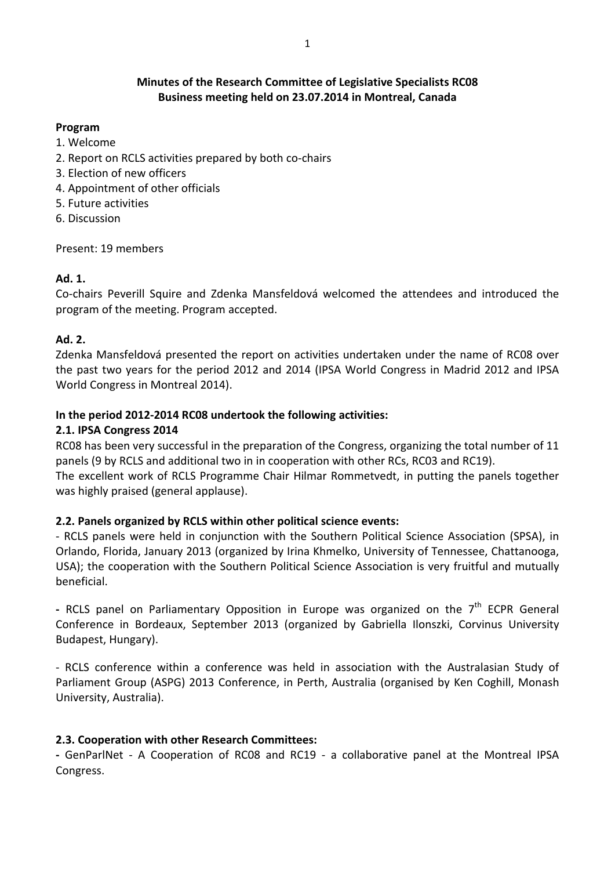# Minutes of the Research Committee of Legislative Specialists RC08 Business meeting held on 23.07.2014 in Montreal, Canada

### Program

- 1. Welcome
- 2. Report on RCLS activities prepared by both co-chairs
- 3. Election of new officers
- 4. Appointment of other officials
- 5. Future activities
- 6. Discussion

Present: 19 members

# Ad. 1.

Co-chairs Peverill Squire and Zdenka Mansfeldová welcomed the attendees and introduced the program of the meeting. Program accepted.

# Ad. 2.

Zdenka Mansfeldová presented the report on activities undertaken under the name of RC08 over the past two years for the period 2012 and 2014 (IPSA World Congress in Madrid 2012 and IPSA World Congress in Montreal 2014).

### In the period 2012-2014 RC08 undertook the following activities:

#### 2.1. IPSA Congress 2014

RC08 has been very successful in the preparation of the Congress, organizing the total number of 11 panels (9 by RCLS and additional two in in cooperation with other RCs, RC03 and RC19). The excellent work of RCLS Programme Chair Hilmar Rommetvedt, in putting the panels together was highly praised (general applause).

# 2.2. Panels organized by RCLS within other political science events:

- RCLS panels were held in conjunction with the Southern Political Science Association (SPSA), in Orlando, Florida, January 2013 (organized by Irina Khmelko, University of Tennessee, Chattanooga, USA); the cooperation with the Southern Political Science Association is very fruitful and mutually beneficial.

- RCLS panel on Parliamentary Opposition in Europe was organized on the  $7<sup>th</sup>$  ECPR General Conference in Bordeaux, September 2013 (organized by Gabriella Ilonszki, Corvinus University Budapest, Hungary).

- RCLS conference within a conference was held in association with the Australasian Study of Parliament Group (ASPG) 2013 Conference, in Perth, Australia (organised by Ken Coghill, Monash University, Australia).

# 2.3. Cooperation with other Research Committees:

- GenParlNet - A Cooperation of RC08 and RC19 - a collaborative panel at the Montreal IPSA Congress.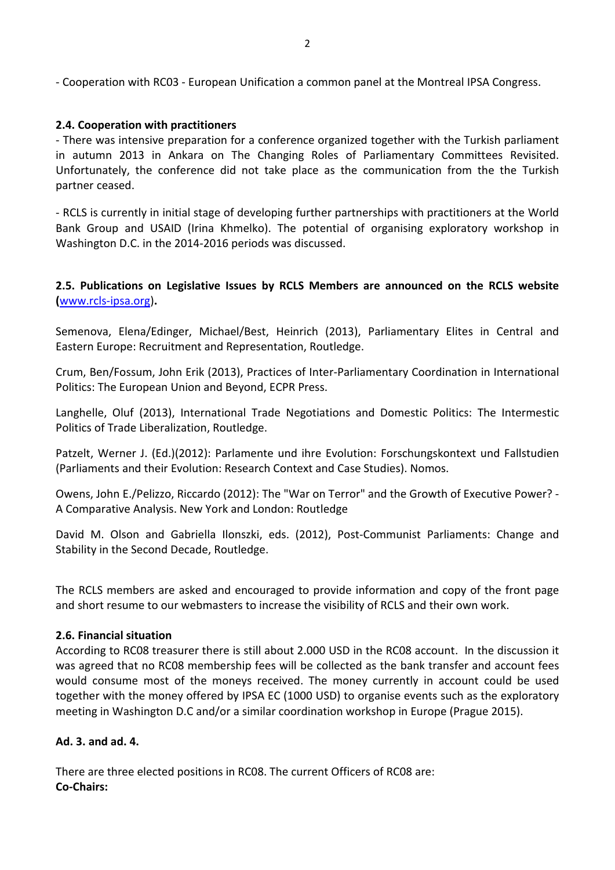- Cooperation with RC03 - European Unification a common panel at the Montreal IPSA Congress.

### 2.4. Cooperation with practitioners

- There was intensive preparation for a conference organized together with the Turkish parliament in autumn 2013 in Ankara on The Changing Roles of Parliamentary Committees Revisited. Unfortunately, the conference did not take place as the communication from the the Turkish partner ceased.

- RCLS is currently in initial stage of developing further partnerships with practitioners at the World Bank Group and USAID (Irina Khmelko). The potential of organising exploratory workshop in Washington D.C. in the 2014-2016 periods was discussed.

# 2.5. Publications on Legislative Issues by RCLS Members are announced on the RCLS website (www.rcls-ipsa.org).

Semenova, Elena/Edinger, Michael/Best, Heinrich (2013), Parliamentary Elites in Central and Eastern Europe: Recruitment and Representation, Routledge.

Crum, Ben/Fossum, John Erik (2013), Practices of Inter-Parliamentary Coordination in International Politics: The European Union and Beyond, ECPR Press.

Langhelle, Oluf (2013), International Trade Negotiations and Domestic Politics: The Intermestic Politics of Trade Liberalization, Routledge.

Patzelt, Werner J. (Ed.)(2012): Parlamente und ihre Evolution: Forschungskontext und Fallstudien (Parliaments and their Evolution: Research Context and Case Studies). Nomos.

Owens, John E./Pelizzo, Riccardo (2012): The "War on Terror" and the Growth of Executive Power? - A Comparative Analysis. New York and London: Routledge

David M. Olson and Gabriella Ilonszki, eds. (2012), Post-Communist Parliaments: Change and Stability in the Second Decade, Routledge.

The RCLS members are asked and encouraged to provide information and copy of the front page and short resume to our webmasters to increase the visibility of RCLS and their own work.

#### 2.6. Financial situation

According to RC08 treasurer there is still about 2.000 USD in the RC08 account. In the discussion it was agreed that no RC08 membership fees will be collected as the bank transfer and account fees would consume most of the moneys received. The money currently in account could be used together with the money offered by IPSA EC (1000 USD) to organise events such as the exploratory meeting in Washington D.C and/or a similar coordination workshop in Europe (Prague 2015).

### Ad. 3. and ad. 4.

There are three elected positions in RC08. The current Officers of RC08 are: Co-Chairs: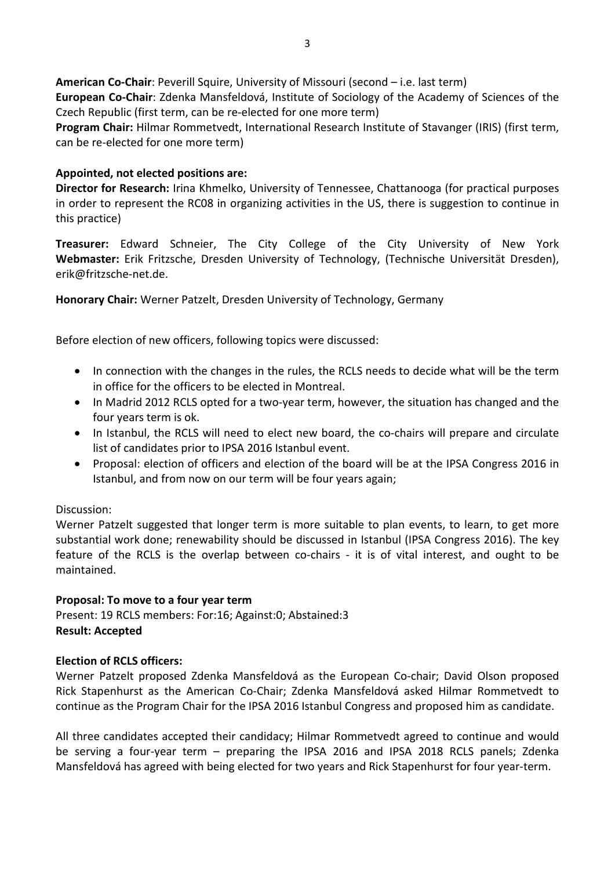American Co-Chair: Peverill Squire, University of Missouri (second – i.e. last term) European Co-Chair: Zdenka Mansfeldová, Institute of Sociology of the Academy of Sciences of the Czech Republic (first term, can be re-elected for one more term)

Program Chair: Hilmar Rommetvedt, International Research Institute of Stavanger (IRIS) (first term, can be re-elected for one more term)

### Appointed, not elected positions are:

Director for Research: Irina Khmelko, University of Tennessee, Chattanooga (for practical purposes in order to represent the RC08 in organizing activities in the US, there is suggestion to continue in this practice)

Treasurer: Edward Schneier, The City College of the City University of New York Webmaster: Erik Fritzsche, Dresden University of Technology, (Technische Universität Dresden), erik@fritzsche-net.de.

Honorary Chair: Werner Patzelt, Dresden University of Technology, Germany

Before election of new officers, following topics were discussed:

- In connection with the changes in the rules, the RCLS needs to decide what will be the term in office for the officers to be elected in Montreal.
- In Madrid 2012 RCLS opted for a two-year term, however, the situation has changed and the four years term is ok.
- In Istanbul, the RCLS will need to elect new board, the co-chairs will prepare and circulate list of candidates prior to IPSA 2016 Istanbul event.
- Proposal: election of officers and election of the board will be at the IPSA Congress 2016 in Istanbul, and from now on our term will be four years again;

#### Discussion:

Werner Patzelt suggested that longer term is more suitable to plan events, to learn, to get more substantial work done; renewability should be discussed in Istanbul (IPSA Congress 2016). The key feature of the RCLS is the overlap between co-chairs - it is of vital interest, and ought to be maintained.

#### Proposal: To move to a four year term

Present: 19 RCLS members: For:16; Against:0; Abstained:3 Result: Accepted

#### Election of RCLS officers:

Werner Patzelt proposed Zdenka Mansfeldová as the European Co-chair; David Olson proposed Rick Stapenhurst as the American Co-Chair; Zdenka Mansfeldová asked Hilmar Rommetvedt to continue as the Program Chair for the IPSA 2016 Istanbul Congress and proposed him as candidate.

All three candidates accepted their candidacy; Hilmar Rommetvedt agreed to continue and would be serving a four-year term – preparing the IPSA 2016 and IPSA 2018 RCLS panels; Zdenka Mansfeldová has agreed with being elected for two years and Rick Stapenhurst for four year-term.